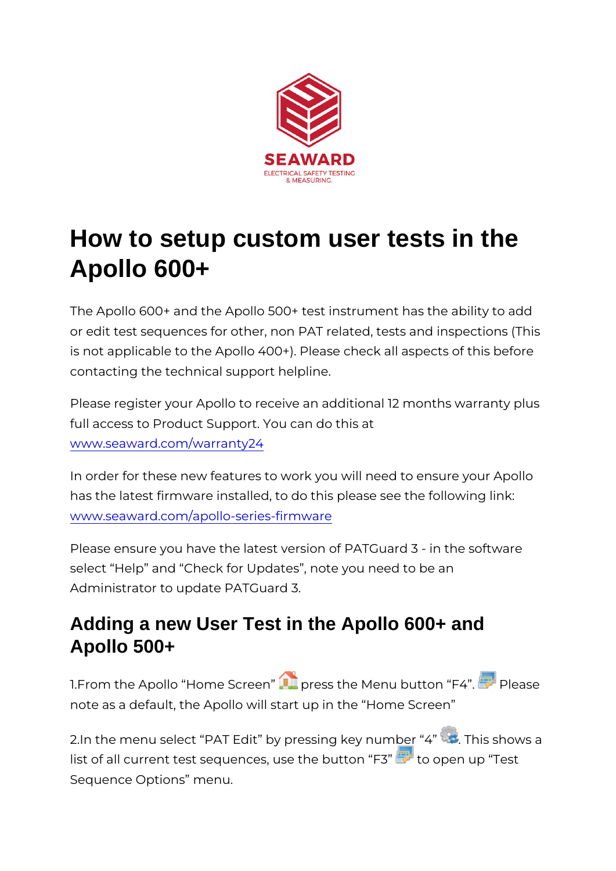## How to setup custom user tests in the Apollo 600+

The Apollo  $600+$  and the Apollo  $500+$  test instrument has the or edit test sequences for other, non PAT related, tests and i is not applicable to the Apollo 400+). Please check all aspect contacting the technical support helpline.

Please register your Apollo to receive an additional 12 month full access to Product Support. You can do this at [www.seaward.com/war](/warranty24)ranty24

In order for these new features to work you will need to ensure has the latest firmware installed, to do this please see the fo [www.seaward.com/apollo-serie](/apollo-series-firmware)s-firmware

Please ensure you have the latest version of PATGuard 3 - in select Help and Check for Updates, note you need to be an Administrator to update PATGuard 3.

## Adding a new User Test in the Apollo 600+ and Apollo 500+

1. From the Apollo Home Spress the Menu button PFe4ase note as a default, the Apollo will start up in the Home Scree

2. In the menu select PAT Edit by pressing key is us milo evis a list of all current test sequences, use the  $\omega$  put to  $\omega$  p  $\sqrt{3}$  est Sequence Options menu.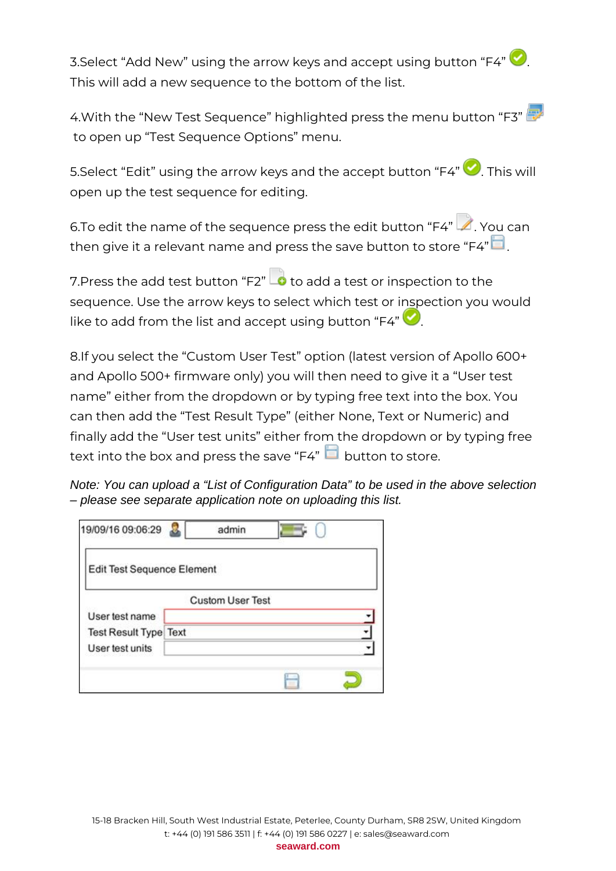3. Select "Add New" using the arrow keys and accept using button "F4" This will add a new sequence to the bottom of the list.

4.With the "New Test Sequence" highlighted press the menu button "F3" to open up "Test Sequence Options" menu.

5.Select "Edit" using the arrow keys and the accept button "F4" **.** This will open up the test sequence for editing.

6.To edit the name of the sequence press the edit button "F4"  $\blacktriangle$ . You can then give it a relevant name and press the save button to store " $F4$ "

7. Press the add test button "F2" **o** to add a test or inspection to the sequence. Use the arrow keys to select which test or inspection you would like to add from the list and accept using button "F4"

8.If you select the "Custom User Test" option (latest version of Apollo 600+ and Apollo 500+ firmware only) you will then need to give it a "User test name" either from the dropdown or by typing free text into the box. You can then add the "Test Result Type" (either None, Text or Numeric) and finally add the "User test units" either from the dropdown or by typing free text into the box and press the save "F4" **button to store.** 

Note: You can upload a "List of Configuration Data" to be used in the above selection – please see separate application note on uploading this list.

| 19/09/16 09:06:29                 | admin                   |  |
|-----------------------------------|-------------------------|--|
| <b>Edit Test Sequence Element</b> |                         |  |
|                                   | <b>Custom User Test</b> |  |
| User test name                    |                         |  |
| <b>Test Result Type Text</b>      |                         |  |
| User test units                   |                         |  |
|                                   |                         |  |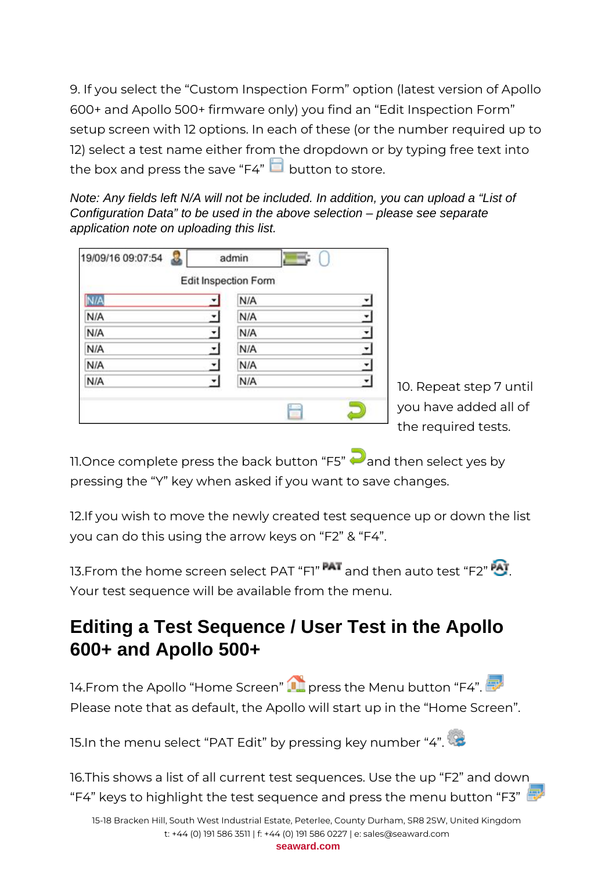9. If you select the "Custom Inspection Form" option (latest version of Apollo 600+ and Apollo 500+ firmware only) you find an "Edit Inspection Form" setup screen with 12 options. In each of these (or the number required up to 12) select a test name either from the dropdown or by typing free text into the box and press the save "F4"  $\Box$  button to store.

Note: Any fields left N/A will not be included. In addition, you can upload a "List of Configuration Data" to be used in the above selection – please see separate application note on uploading this list.

| 19/09/16 09:07:54 | admin                       |                          |
|-------------------|-----------------------------|--------------------------|
|                   | Edit Inspection Form        |                          |
| <b>I/A</b>        | N/A<br>▼                    |                          |
| N/A               | N/A<br>7                    | ٣                        |
| N/A               | $\blacktriangledown$<br>N/A | z                        |
| N/A               | N/A<br>▼                    |                          |
| N/A               | N/A<br>۰                    | $\overline{\phantom{a}}$ |
| N/A               | N/A                         | ٠                        |

10. Repeat step 7 until you have added all of the required tests.

11. Once complete press the back button "F5"  $\bigodot$  and then select yes by pressing the "Y" key when asked if you want to save changes.

12.If you wish to move the newly created test sequence up or down the list you can do this using the arrow keys on "F2" & "F4".

13. From the home screen select PAT "F1" **FAT** and then auto test "F2" **AT** Your test sequence will be available from the menu.

## **Editing a Test Sequence / User Test in the Apollo 600+ and Apollo 500+**

14.From the Apollo "Home Screen" **The press the Menu button "F4".** Please note that as default, the Apollo will start up in the "Home Screen".

15.In the menu select "PAT Edit" by pressing key number "4".

16.This shows a list of all current test sequences. Use the up "F2" and down "F4" keys to highlight the test sequence and press the menu button "F3"